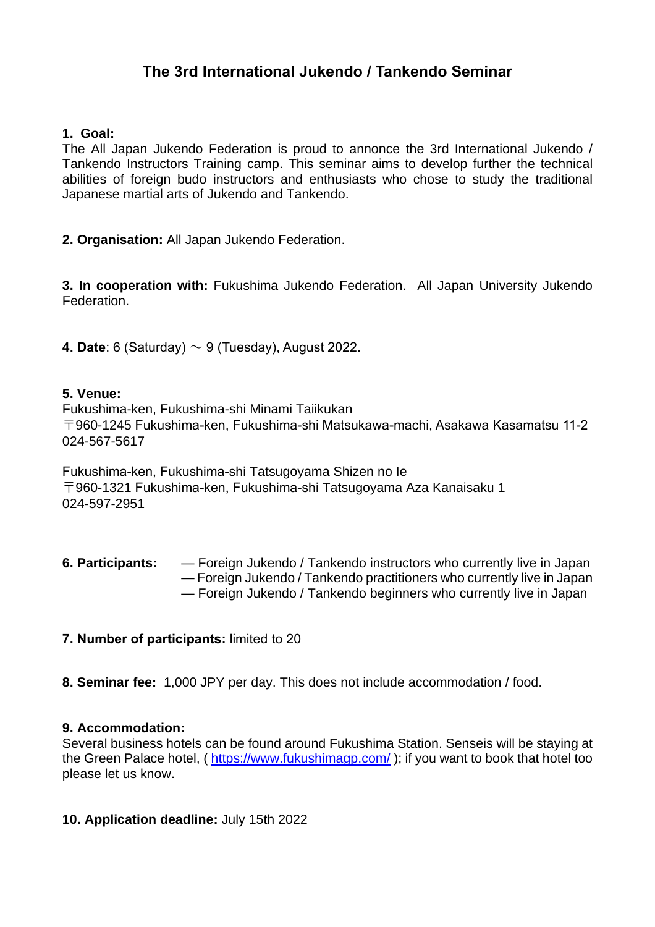# **The 3rd International Jukendo / Tankendo Seminar**

### **1. Goal:**

The All Japan Jukendo Federation is proud to annonce the 3rd International Jukendo / Tankendo Instructors Training camp. This seminar aims to develop further the technical abilities of foreign budo instructors and enthusiasts who chose to study the traditional Japanese martial arts of Jukendo and Tankendo.

**2. Organisation:** All Japan Jukendo Federation.

**3. In cooperation with:** Fukushima Jukendo Federation. All Japan University Jukendo Federation.

**4. Date**: 6 (Saturday) ~ 9 (Tuesday), August 2022.

#### **5. Venue:**

Fukushima-ken, Fukushima-shi Minami Taiikukan 〒960-1245 Fukushima-ken, Fukushima-shi Matsukawa-machi, Asakawa Kasamatsu 11-2 024-567-5617

Fukushima-ken, Fukushima-shi Tatsugoyama Shizen no Ie 〒960-1321 Fukushima-ken, Fukushima-shi Tatsugoyama Aza Kanaisaku 1 024-597-2951

**6. Participants:** — Foreign Jukendo / Tankendo instructors who currently live in Japan — Foreign Jukendo / Tankendo practitioners who currently live in Japan — Foreign Jukendo / Tankendo beginners who currently live in Japan

#### **7. Number of participants:** limited to 20

**8. Seminar fee:** 1,000 JPY per day. This does not include accommodation / food.

#### **9. Accommodation:**

Several business hotels can be found around Fukushima Station. Senseis will be staying at the Green Palace hotel, ( <https://www.fukushimagp.com/> ); if you want to book that hotel too please let us know.

#### **10. Application deadline:** July 15th 2022